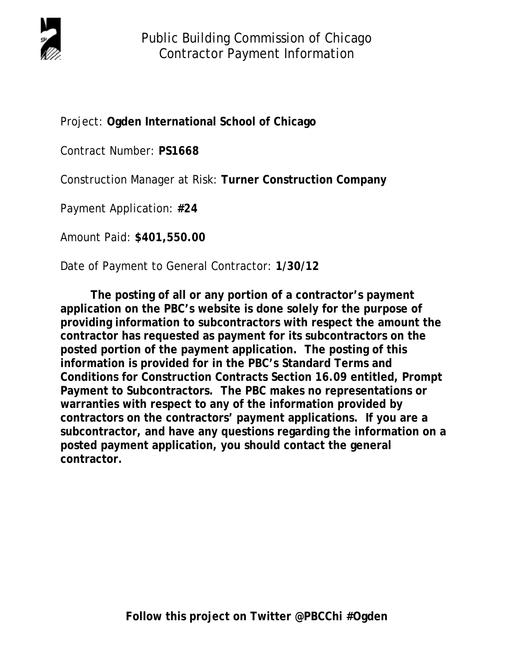

Project: **Ogden International School of Chicago**

Contract Number: **PS1668**

Construction Manager at Risk: **Turner Construction Company** 

Payment Application: **#24**

Amount Paid: **\$401,550.00**

Date of Payment to General Contractor: **1/30/12** 

 **The posting of all or any portion of a contractor's payment application on the PBC's website is done solely for the purpose of providing information to subcontractors with respect the amount the contractor has requested as payment for its subcontractors on the posted portion of the payment application. The posting of this information is provided for in the PBC's Standard Terms and Conditions for Construction Contracts Section 16.09 entitled, Prompt Payment to Subcontractors. The PBC makes no representations or warranties with respect to any of the information provided by contractors on the contractors' payment applications. If you are a subcontractor, and have any questions regarding the information on a posted payment application, you should contact the general contractor.**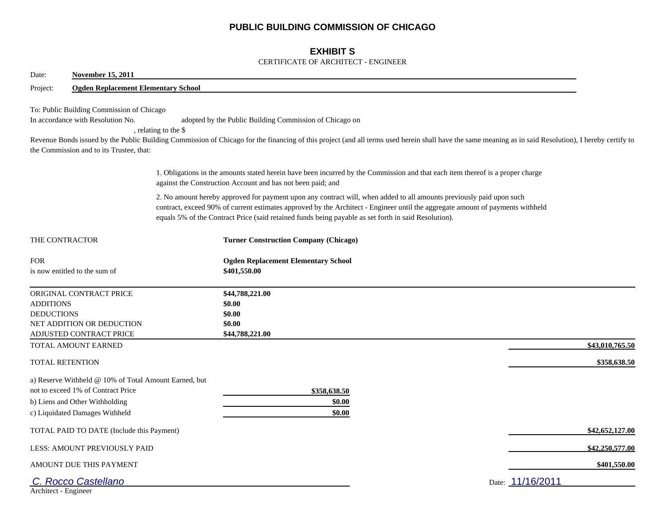## **PUBLIC BUILDING COMMISSION OF CHICAGO**

## **EXHIBIT S**

#### CERTIFICATE OF ARCHITECT - ENGINEER

| Date:<br><b>November 15, 2011</b>                                                                                                                               |                                                                                                                                                                                                                                                                                                                                                                |  |
|-----------------------------------------------------------------------------------------------------------------------------------------------------------------|----------------------------------------------------------------------------------------------------------------------------------------------------------------------------------------------------------------------------------------------------------------------------------------------------------------------------------------------------------------|--|
| Project:<br><b>Ogden Replacement Elementary School</b>                                                                                                          |                                                                                                                                                                                                                                                                                                                                                                |  |
| To: Public Building Commission of Chicago<br>In accordance with Resolution No.<br>the Commission and to its Trustee, that:                                      | adopted by the Public Building Commission of Chicago on<br>, relating to the \$<br>Revenue Bonds issued by the Public Building Commission of Chicago for the financing of this project (and all terms used herein shall have the same meaning as in said Resolution), I hereby certify to                                                                      |  |
|                                                                                                                                                                 | 1. Obligations in the amounts stated herein have been incurred by the Commission and that each item thereof is a proper charge<br>against the Construction Account and has not been paid; and                                                                                                                                                                  |  |
|                                                                                                                                                                 | 2. No amount hereby approved for payment upon any contract will, when added to all amounts previously paid upon such<br>contract, exceed 90% of current estimates approved by the Architect - Engineer until the aggregate amount of payments withheld<br>equals 5% of the Contract Price (said retained funds being payable as set forth in said Resolution). |  |
| THE CONTRACTOR                                                                                                                                                  | <b>Turner Construction Company (Chicago)</b>                                                                                                                                                                                                                                                                                                                   |  |
| <b>FOR</b><br>is now entitled to the sum of                                                                                                                     | <b>Ogden Replacement Elementary School</b><br>\$401,550.00                                                                                                                                                                                                                                                                                                     |  |
| ORIGINAL CONTRACT PRICE<br><b>ADDITIONS</b><br><b>DEDUCTIONS</b><br>NET ADDITION OR DEDUCTION<br>ADJUSTED CONTRACT PRICE                                        | \$44,788,221.00<br>\$0.00<br>\$0.00<br>\$0.00<br>\$44,788,221.00                                                                                                                                                                                                                                                                                               |  |
| TOTAL AMOUNT EARNED                                                                                                                                             | \$43,010,765.50                                                                                                                                                                                                                                                                                                                                                |  |
| TOTAL RETENTION                                                                                                                                                 | \$358,638.50                                                                                                                                                                                                                                                                                                                                                   |  |
| a) Reserve Withheld @ 10% of Total Amount Earned, but<br>not to exceed 1% of Contract Price<br>b) Liens and Other Withholding<br>c) Liquidated Damages Withheld | \$358,638.50<br>\$0.00<br>\$0.00                                                                                                                                                                                                                                                                                                                               |  |
| TOTAL PAID TO DATE (Include this Payment)                                                                                                                       | \$42,652,127.00                                                                                                                                                                                                                                                                                                                                                |  |
| LESS: AMOUNT PREVIOUSLY PAID                                                                                                                                    | \$42,250,577.00                                                                                                                                                                                                                                                                                                                                                |  |
| AMOUNT DUE THIS PAYMENT                                                                                                                                         | \$401,550.00                                                                                                                                                                                                                                                                                                                                                   |  |
| C. Rocco Castellano<br>Architect - Engineer                                                                                                                     | Date: 11/16/2011                                                                                                                                                                                                                                                                                                                                               |  |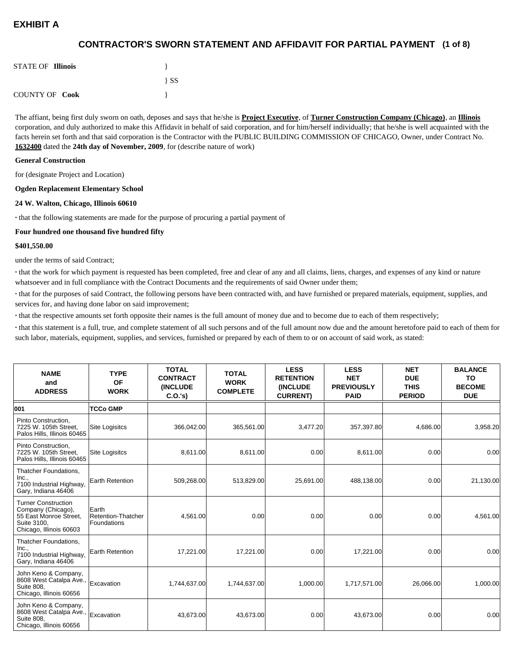## **(1 of 8) CONTRACTOR'S SWORN STATEMENT AND AFFIDAVIT FOR PARTIAL PAYMENT**

| <b>STATE OF Illinois</b> |          |
|--------------------------|----------|
|                          | $\{SS\}$ |
| <b>COUNTY OF Cook</b>    |          |

The affiant, being first duly sworn on oath, deposes and says that he/she is **Project Executive**, of **Turner Construction Company (Chicago)**, an **Illinois** corporation, and duly authorized to make this Affidavit in behalf of said corporation, and for him/herself individually; that he/she is well acquainted with the facts herein set forth and that said corporation is the Contractor with the PUBLIC BUILDING COMMISSION OF CHICAGO, Owner, under Contract No. **1632400** dated the **24th day of November, 2009**, for (describe nature of work)

#### **General Construction**

for (designate Project and Location)

#### **Ogden Replacement Elementary School**

#### **24 W. Walton, Chicago, Illinois 60610**

**·** that the following statements are made for the purpose of procuring a partial payment of

#### **Four hundred one thousand five hundred fifty**

#### **\$401,550.00**

under the terms of said Contract;

**·** that the work for which payment is requested has been completed, free and clear of any and all claims, liens, charges, and expenses of any kind or nature whatsoever and in full compliance with the Contract Documents and the requirements of said Owner under them;

**·** that for the purposes of said Contract, the following persons have been contracted with, and have furnished or prepared materials, equipment, supplies, and services for, and having done labor on said improvement;

**·** that the respective amounts set forth opposite their names is the full amount of money due and to become due to each of them respectively;

**·** that this statement is a full, true, and complete statement of all such persons and of the full amount now due and the amount heretofore paid to each of them for such labor, materials, equipment, supplies, and services, furnished or prepared by each of them to or on account of said work, as stated:

| <b>NAME</b><br>and<br><b>ADDRESS</b>                                                                                 | <b>TYPE</b><br><b>OF</b><br><b>WORK</b>           | <b>TOTAL</b><br><b>CONTRACT</b><br><b>(INCLUDE</b><br>C.O.'s | <b>TOTAL</b><br><b>WORK</b><br><b>COMPLETE</b> | <b>LESS</b><br><b>RETENTION</b><br><b>(INCLUDE</b><br><b>CURRENT)</b> | <b>LESS</b><br><b>NET</b><br><b>PREVIOUSLY</b><br><b>PAID</b> | <b>NET</b><br><b>DUE</b><br><b>THIS</b><br><b>PERIOD</b> | <b>BALANCE</b><br><b>TO</b><br><b>BECOME</b><br><b>DUE</b> |
|----------------------------------------------------------------------------------------------------------------------|---------------------------------------------------|--------------------------------------------------------------|------------------------------------------------|-----------------------------------------------------------------------|---------------------------------------------------------------|----------------------------------------------------------|------------------------------------------------------------|
| 001                                                                                                                  | <b>TCCo GMP</b>                                   |                                                              |                                                |                                                                       |                                                               |                                                          |                                                            |
| Pinto Construction.<br>7225 W. 105th Street,<br>Palos Hills, Illinois 60465                                          | <b>Site Logisitcs</b>                             | 366,042.00                                                   | 365,561.00                                     | 3,477.20                                                              | 357,397.80                                                    | 4,686.00                                                 | 3,958.20                                                   |
| Pinto Construction,<br>7225 W. 105th Street.<br>Palos Hills, Illinois 60465                                          | Site Logisitcs                                    | 8,611.00                                                     | 8.611.00                                       | 0.00                                                                  | 8.611.00                                                      | 0.00                                                     | 0.00                                                       |
| Thatcher Foundations,<br>Inc.,<br>7100 Industrial Highway,<br>Gary, Indiana 46406                                    | Earth Retention                                   | 509,268.00                                                   | 513,829.00                                     | 25,691.00                                                             | 488,138.00                                                    | 0.00                                                     | 21,130.00                                                  |
| <b>Turner Construction</b><br>Company (Chicago),<br>55 East Monroe Street,<br>Suite 3100.<br>Chicago, Illinois 60603 | Earth<br>Retention-Thatcher<br><b>Foundations</b> | 4,561.00                                                     | 0.00                                           | 0.00                                                                  | 0.00                                                          | 0.00                                                     | 4,561.00                                                   |
| <b>Thatcher Foundations.</b><br>Inc.,<br>7100 Industrial Highway,<br>Gary, Indiana 46406                             | <b>Earth Retention</b>                            | 17,221.00                                                    | 17,221.00                                      | 0.00                                                                  | 17,221.00                                                     | 0.00                                                     | 0.00                                                       |
| John Keno & Company,<br>8608 West Catalpa Ave.,<br>Suite 808,<br>Chicago, Illinois 60656                             | Excavation                                        | 1,744,637.00                                                 | 1,744,637.00                                   | 1,000.00                                                              | 1,717,571.00                                                  | 26,066.00                                                | 1,000.00                                                   |
| John Keno & Company,<br>8608 West Catalpa Ave.,<br>Suite 808,<br>Chicago, Illinois 60656                             | Excavation                                        | 43,673.00                                                    | 43,673.00                                      | 0.00                                                                  | 43,673.00                                                     | 0.00                                                     | 0.00                                                       |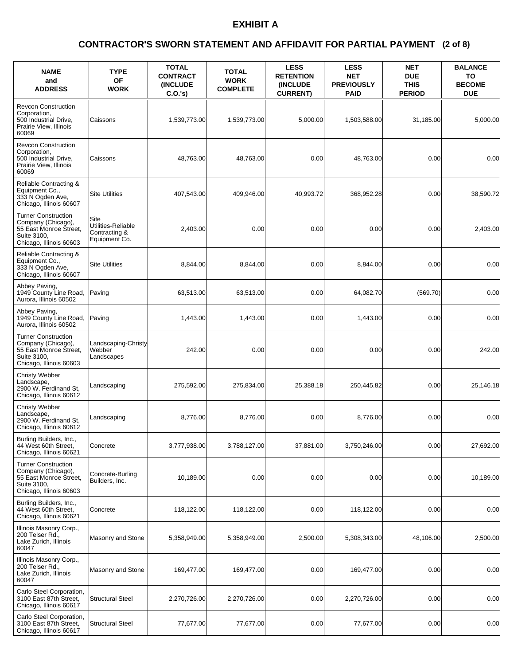### **(2 of 8) CONTRACTOR'S SWORN STATEMENT AND AFFIDAVIT FOR PARTIAL PAYMENT**

| <b>NAME</b><br>and<br><b>ADDRESS</b>                                                                                 | <b>TYPE</b><br><b>OF</b><br><b>WORK</b>                      | <b>TOTAL</b><br><b>CONTRACT</b><br>(INCLUDE<br>$C.O.'s$ ) | <b>TOTAL</b><br><b>WORK</b><br><b>COMPLETE</b> | <b>LESS</b><br><b>RETENTION</b><br>(INCLUDE<br><b>CURRENT)</b> | <b>LESS</b><br><b>NET</b><br><b>PREVIOUSLY</b><br><b>PAID</b> | <b>NET</b><br><b>DUE</b><br><b>THIS</b><br><b>PERIOD</b> | <b>BALANCE</b><br>TO<br><b>BECOME</b><br><b>DUE</b> |
|----------------------------------------------------------------------------------------------------------------------|--------------------------------------------------------------|-----------------------------------------------------------|------------------------------------------------|----------------------------------------------------------------|---------------------------------------------------------------|----------------------------------------------------------|-----------------------------------------------------|
| <b>Revcon Construction</b><br>Corporation,<br>500 Industrial Drive,<br>Prairie View, Illinois<br>60069               | Caissons                                                     | 1,539,773.00                                              | 1,539,773.00                                   | 5.000.00                                                       | 1,503,588.00                                                  | 31,185.00                                                | 5,000.00                                            |
| <b>Revcon Construction</b><br>Corporation,<br>500 Industrial Drive,<br>Prairie View, Illinois<br>60069               | <b>Caissons</b>                                              | 48.763.00                                                 | 48.763.00                                      | 0.00                                                           | 48.763.00                                                     | 0.00                                                     | 0.00                                                |
| Reliable Contracting &<br>Equipment Co.,<br>333 N Ogden Ave,<br>Chicago, Illinois 60607                              | <b>Site Utilities</b>                                        | 407,543.00                                                | 409,946.00                                     | 40,993.72                                                      | 368,952.28                                                    | 0.00                                                     | 38,590.72                                           |
| <b>Turner Construction</b><br>Company (Chicago),<br>55 East Monroe Street,<br>Suite 3100,<br>Chicago, Illinois 60603 | Site<br>Utilities-Reliable<br>Contracting &<br>Equipment Co. | 2,403.00                                                  | 0.00                                           | 0.00                                                           | 0.00                                                          | 0.00                                                     | 2,403.00                                            |
| Reliable Contracting &<br>Equipment Co.,<br>333 N Ogden Ave,<br>Chicago, Illinois 60607                              | <b>Site Utilities</b>                                        | 8,844.00                                                  | 8,844.00                                       | 0.00                                                           | 8,844.00                                                      | 0.00                                                     | 0.00                                                |
| Abbey Paving,<br>1949 County Line Road,<br>Aurora, Illinois 60502                                                    | Paving                                                       | 63,513.00                                                 | 63,513.00                                      | 0.00                                                           | 64,082.70                                                     | (569.70)                                                 | 0.00                                                |
| Abbey Paving,<br>1949 County Line Road,<br>Aurora, Illinois 60502                                                    | Paving                                                       | 1,443.00                                                  | 1,443.00                                       | 0.00                                                           | 1,443.00                                                      | 0.00                                                     | 0.00                                                |
| <b>Turner Construction</b><br>Company (Chicago),<br>55 East Monroe Street,<br>Suite 3100,<br>Chicago, Illinois 60603 | Landscaping-Christy<br>Webber<br>Landscapes                  | 242.00                                                    | 0.00                                           | 0.00                                                           | 0.00                                                          | 0.00                                                     | 242.00                                              |
| <b>Christy Webber</b><br>Landscape,<br>2900 W. Ferdinand St,<br>Chicago, Illinois 60612                              | Landscaping                                                  | 275,592.00                                                | 275,834.00                                     | 25,388.18                                                      | 250,445.82                                                    | 0.00                                                     | 25.146.18                                           |
| <b>Christy Webber</b><br>Landscape,<br>2900 W. Ferdinand St.<br>Chicago, Illinois 60612                              | Landscaping                                                  | 8.776.00                                                  | 8.776.00                                       | 0.00                                                           | 8.776.00                                                      | 0.00                                                     | 0.00                                                |
| Burling Builders, Inc.,<br>44 West 60th Street,<br>Chicago, Illinois 60621                                           | Concrete                                                     | 3,777,938.00                                              | 3,788,127.00                                   | 37,881.00                                                      | 3,750,246.00                                                  | 0.00                                                     | 27,692.00                                           |
| <b>Turner Construction</b><br>Company (Chicago),<br>55 East Monroe Street,<br>Suite 3100,<br>Chicago, Illinois 60603 | Concrete-Burling<br>Builders, Inc.                           | 10,189.00                                                 | 0.00                                           | 0.00                                                           | 0.00                                                          | 0.00                                                     | 10,189.00                                           |
| Burling Builders, Inc.,<br>44 West 60th Street,<br>Chicago, Illinois 60621                                           | Concrete                                                     | 118,122.00                                                | 118,122.00                                     | 0.00                                                           | 118,122.00                                                    | 0.00                                                     | 0.00                                                |
| Illinois Masonry Corp.,<br>200 Telser Rd.,<br>Lake Zurich, Illinois<br>60047                                         | Masonry and Stone                                            | 5,358,949.00                                              | 5,358,949.00                                   | 2,500.00                                                       | 5,308,343.00                                                  | 48,106.00                                                | 2,500.00                                            |
| Illinois Masonry Corp.,<br>200 Telser Rd.,<br>Lake Zurich, Illinois<br>60047                                         | Masonry and Stone                                            | 169,477.00                                                | 169,477.00                                     | 0.00                                                           | 169,477.00                                                    | 0.00                                                     | 0.00                                                |
| Carlo Steel Corporation,<br>3100 East 87th Street,<br>Chicago, Illinois 60617                                        | <b>Structural Steel</b>                                      | 2,270,726.00                                              | 2,270,726.00                                   | 0.00                                                           | 2,270,726.00                                                  | 0.00                                                     | 0.00                                                |
| Carlo Steel Corporation,<br>3100 East 87th Street,<br>Chicago, Illinois 60617                                        | <b>Structural Steel</b>                                      | 77,677.00                                                 | 77,677.00                                      | 0.00                                                           | 77,677.00                                                     | 0.00                                                     | 0.00                                                |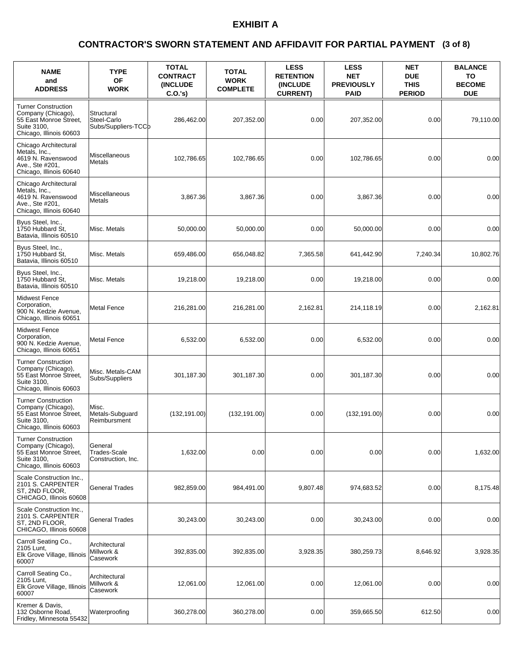### **(3 of 8) CONTRACTOR'S SWORN STATEMENT AND AFFIDAVIT FOR PARTIAL PAYMENT**

| <b>NAME</b><br>and<br><b>ADDRESS</b>                                                                                 | <b>TYPE</b><br><b>OF</b><br><b>WORK</b>          | <b>TOTAL</b><br><b>CONTRACT</b><br>(INCLUDE<br>$C.O.'s$ ) | <b>TOTAL</b><br><b>WORK</b><br><b>COMPLETE</b> | <b>LESS</b><br><b>RETENTION</b><br>(INCLUDE<br><b>CURRENT)</b> | <b>LESS</b><br><b>NET</b><br><b>PREVIOUSLY</b><br><b>PAID</b> | <b>NET</b><br><b>DUE</b><br><b>THIS</b><br><b>PERIOD</b> | <b>BALANCE</b><br>ΤО<br><b>BECOME</b><br><b>DUE</b> |
|----------------------------------------------------------------------------------------------------------------------|--------------------------------------------------|-----------------------------------------------------------|------------------------------------------------|----------------------------------------------------------------|---------------------------------------------------------------|----------------------------------------------------------|-----------------------------------------------------|
| <b>Turner Construction</b><br>Company (Chicago),<br>55 East Monroe Street,<br>Suite 3100,<br>Chicago, Illinois 60603 | Structural<br>Steel-Carlo<br>Subs/Suppliers-TCCb | 286,462.00                                                | 207,352.00                                     | 0.00                                                           | 207,352.00                                                    | 0.00                                                     | 79,110.00                                           |
| Chicago Architectural<br>Metals, Inc.,<br>4619 N. Ravenswood<br>Ave., Ste #201,<br>Chicago, Illinois 60640           | Miscellaneous<br>Metals                          | 102,786.65                                                | 102.786.65                                     | 0.00                                                           | 102,786.65                                                    | 0.00                                                     | 0.00                                                |
| Chicago Architectural<br>Metals, Inc.,<br>4619 N. Ravenswood<br>Ave., Ste #201,<br>Chicago, Illinois 60640           | Miscellaneous<br>Metals                          | 3,867.36                                                  | 3,867.36                                       | 0.00                                                           | 3,867.36                                                      | 0.00                                                     | 0.00                                                |
| Byus Steel, Inc.,<br>1750 Hubbard St.<br>Batavia, Illinois 60510                                                     | Misc. Metals                                     | 50,000.00                                                 | 50,000.00                                      | 0.00                                                           | 50,000.00                                                     | 0.00                                                     | 0.00                                                |
| Byus Steel, Inc.,<br>1750 Hubbard St.<br>Batavia, Illinois 60510                                                     | Misc. Metals                                     | 659,486.00                                                | 656,048.82                                     | 7,365.58                                                       | 641,442.90                                                    | 7,240.34                                                 | 10,802.76                                           |
| Byus Steel, Inc.,<br>1750 Hubbard St.<br>Batavia, Illinois 60510                                                     | Misc. Metals                                     | 19.218.00                                                 | 19,218.00                                      | 0.00                                                           | 19,218.00                                                     | 0.00                                                     | 0.00                                                |
| <b>Midwest Fence</b><br>Corporation,<br>900 <sup>'</sup> N. Kedzie Avenue,<br>Chicago, Illinois 60651                | <b>Metal Fence</b>                               | 216,281.00                                                | 216,281.00                                     | 2,162.81                                                       | 214,118.19                                                    | 0.00                                                     | 2,162.81                                            |
| <b>Midwest Fence</b><br>Corporation,<br>900 N. Kedzie Avenue,<br>Chicago, Illinois 60651                             | <b>Metal Fence</b>                               | 6,532.00                                                  | 6,532.00                                       | 0.00                                                           | 6,532.00                                                      | 0.00                                                     | 0.00                                                |
| <b>Turner Construction</b><br>Company (Chicago),<br>55 East Monroe Street,<br>Suite 3100,<br>Chicago, Illinois 60603 | Misc. Metals-CAM<br>Subs/Suppliers               | 301,187.30                                                | 301,187.30                                     | 0.00                                                           | 301,187.30                                                    | 0.00                                                     | 0.00                                                |
| <b>Turner Construction</b><br>Company (Chicago),<br>55 East Monroe Street,<br>Suite 3100,<br>Chicago, Illinois 60603 | Misc.<br>Metals-Subguard<br>Reimbursment         | (132, 191.00)                                             | (132, 191.00)                                  | 0.00                                                           | (132, 191.00)                                                 | 0.00                                                     | 0.00                                                |
| <b>Turner Construction</b><br>Company (Chicago),<br>55 East Monroe Street,<br>Suite 3100,<br>Chicago, Illinois 60603 | General<br>Trades-Scale<br>Construction, Inc.    | 1,632.00                                                  | 0.00                                           | 0.00                                                           | 0.00                                                          | 0.00                                                     | 1,632.00                                            |
| Scale Construction Inc.,<br>2101 S. CARPENTER<br>ST, 2ND FLOOR,<br>CHICAGO, Illinois 60608                           | <b>General Trades</b>                            | 982,859.00                                                | 984,491.00                                     | 9,807.48                                                       | 974,683.52                                                    | 0.00                                                     | 8,175.48                                            |
| Scale Construction Inc.,<br>2101 S. CARPENTER<br>ST, 2ND FLOOR,<br>CHICAGO, Illinois 60608                           | <b>General Trades</b>                            | 30,243.00                                                 | 30,243.00                                      | 0.00                                                           | 30,243.00                                                     | 0.00                                                     | 0.00                                                |
| Carroll Seating Co.,<br>2105 Lunt,<br>Elk Grove Village, Illinois<br>60007                                           | Architectural<br>Millwork &<br>Casework          | 392,835.00                                                | 392,835.00                                     | 3,928.35                                                       | 380,259.73                                                    | 8,646.92                                                 | 3,928.35                                            |
| Carroll Seating Co.,<br>2105 Lunt,<br>Elk Grove Village, Illinois<br>60007                                           | Architectural<br>Millwork &<br>Casework          | 12,061.00                                                 | 12,061.00                                      | 0.00                                                           | 12,061.00                                                     | 0.00                                                     | 0.00                                                |
| Kremer & Davis,<br>132 Osborne Road,<br>Fridley, Minnesota 55432                                                     | Waterproofing                                    | 360,278.00                                                | 360,278.00                                     | 0.00                                                           | 359,665.50                                                    | 612.50                                                   | 0.00                                                |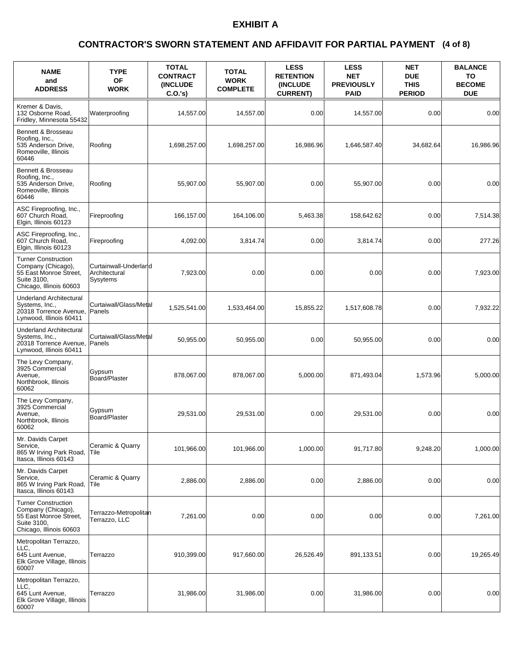### **(4 of 8) CONTRACTOR'S SWORN STATEMENT AND AFFIDAVIT FOR PARTIAL PAYMENT**

| <b>NAME</b><br>and<br><b>ADDRESS</b>                                                                                 | <b>TYPE</b><br><b>OF</b><br><b>WORK</b>            | <b>TOTAL</b><br><b>CONTRACT</b><br><b>(INCLUDE)</b><br>C.O.'s) | <b>TOTAL</b><br><b>WORK</b><br><b>COMPLETE</b> | <b>LESS</b><br><b>RETENTION</b><br><b>(INCLUDE)</b><br><b>CURRENT)</b> | <b>LESS</b><br><b>NET</b><br><b>PREVIOUSLY</b><br><b>PAID</b> | <b>NET</b><br><b>DUE</b><br><b>THIS</b><br><b>PERIOD</b> | <b>BALANCE</b><br>TO<br><b>BECOME</b><br><b>DUE</b> |
|----------------------------------------------------------------------------------------------------------------------|----------------------------------------------------|----------------------------------------------------------------|------------------------------------------------|------------------------------------------------------------------------|---------------------------------------------------------------|----------------------------------------------------------|-----------------------------------------------------|
| Kremer & Davis.<br>132 Osborne Road.<br>Fridley, Minnesota 55432                                                     | Waterproofing                                      | 14,557.00                                                      | 14,557.00                                      | 0.00                                                                   | 14,557.00                                                     | 0.00                                                     | 0.00                                                |
| Bennett & Brosseau<br>Roofing, Inc.,<br>535 Anderson Drive,<br>Romeoville, Illinois<br>60446                         | Roofing                                            | 1,698,257.00                                                   | 1,698,257.00                                   | 16,986.96                                                              | 1,646,587.40                                                  | 34,682.64                                                | 16,986.96                                           |
| Bennett & Brosseau<br>Roofing, Inc.,<br>535 Anderson Drive,<br>Romeoville, Illinois<br>60446                         | Roofing                                            | 55,907.00                                                      | 55,907.00                                      | 0.00                                                                   | 55,907.00                                                     | 0.00                                                     | 0.00                                                |
| ASC Fireproofing, Inc.,<br>607 Church Road,<br>Elgin, Illinois 60123                                                 | Fireproofing                                       | 166,157.00                                                     | 164,106.00                                     | 5,463.38                                                               | 158,642.62                                                    | 0.00                                                     | 7,514.38                                            |
| ASC Fireproofing, Inc.,<br>607 Church Road,<br>Elgin, Illinois 60123                                                 | Fireproofing                                       | 4,092.00                                                       | 3,814.74                                       | 0.00                                                                   | 3,814.74                                                      | 0.00                                                     | 277.26                                              |
| <b>Turner Construction</b><br>Company (Chicago),<br>55 East Monroe Street,<br>Suite 3100,<br>Chicago, Illinois 60603 | Curtainwall-Underland<br>Architectural<br>Sysytems | 7.923.00                                                       | 0.00                                           | 0.00                                                                   | 0.00                                                          | 0.00                                                     | 7,923.00                                            |
| <b>Underland Architectural</b><br>Systems, Inc.,<br>20318 Torrence Avenue,<br>Lynwood, Illinois 60411                | Curtaiwall/Glass/Metal<br>Panels                   | 1,525,541.00                                                   | 1,533,464.00                                   | 15,855.22                                                              | 1,517,608.78                                                  | 0.00                                                     | 7,932.22                                            |
| <b>Underland Architectural</b><br>Systems, Inc.,<br>20318 Torrence Avenue,<br>Lynwood, Illinois 60411                | Curtaiwall/Glass/Metal<br>Panels                   | 50,955.00                                                      | 50,955.00                                      | 0.00                                                                   | 50,955.00                                                     | 0.00                                                     | 0.00                                                |
| The Levy Company,<br>3925 Commercial<br>Avenue,<br>Northbrook, Illinois<br>60062                                     | Gypsum<br>Board/Plaster                            | 878,067.00                                                     | 878,067.00                                     | 5,000.00                                                               | 871,493.04                                                    | 1,573.96                                                 | 5,000.00                                            |
| The Levy Company,<br>3925 Commercial<br>Avenue.<br>Northbrook, Illinois<br>60062                                     | Gypsum<br>Board/Plaster                            | 29,531.00                                                      | 29,531.00                                      | 0.00                                                                   | 29,531.00                                                     | 0.00                                                     | 0.00                                                |
| Mr. Davids Carpet<br>Service,<br>865 W Irving Park Road,<br>Itasca, Illinois 60143                                   | Ceramic & Quarry<br>Tile                           | 101,966.00                                                     | 101,966.00                                     | 1,000.00                                                               | 91,717.80                                                     | 9,248.20                                                 | 1,000.00                                            |
| Mr. Davids Carpet<br>Service,<br>865 W Irving Park Road,<br>Itasca, Illinois 60143                                   | Ceramic & Quarry<br>Tile                           | 2,886.00                                                       | 2,886.00                                       | 0.00                                                                   | 2,886.00                                                      | 0.00                                                     | 0.00                                                |
| <b>Turner Construction</b><br>Company (Chicago),<br>55 East Monroe Street,<br>Suite 3100,<br>Chicago, Illinois 60603 | Terrazzo-Metropolitan<br>Terrazzo, LLC             | 7,261.00                                                       | 0.00                                           | 0.00                                                                   | 0.00                                                          | 0.00                                                     | 7,261.00                                            |
| Metropolitan Terrazzo,<br>LLC,<br>645 Lunt Avenue,<br>Elk Grove Village, Illinois<br>60007                           | Terrazzo                                           | 910,399.00                                                     | 917,660.00                                     | 26,526.49                                                              | 891,133.51                                                    | 0.00                                                     | 19,265.49                                           |
| Metropolitan Terrazzo,<br>LLC.<br>645 Lunt Avenue,<br>Elk Grove Village, Illinois<br>60007                           | Terrazzo                                           | 31,986.00                                                      | 31,986.00                                      | 0.00                                                                   | 31,986.00                                                     | 0.00                                                     | 0.00                                                |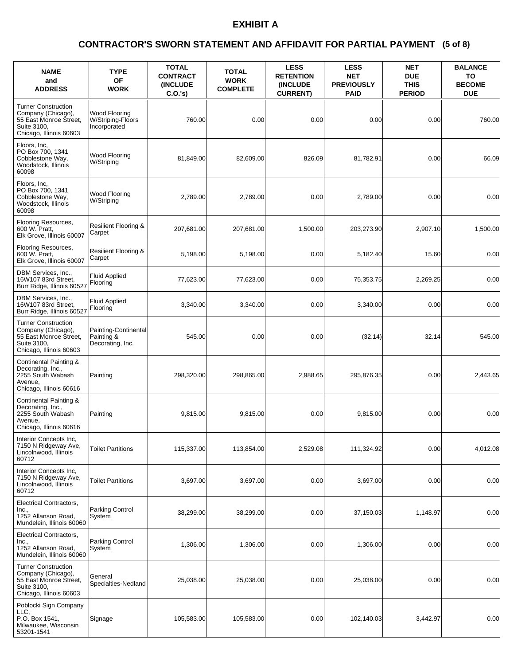### **(5 of 8) CONTRACTOR'S SWORN STATEMENT AND AFFIDAVIT FOR PARTIAL PAYMENT**

| <b>NAME</b><br>and<br><b>ADDRESS</b>                                                                                 | <b>TYPE</b><br><b>OF</b><br><b>WORK</b>                | <b>TOTAL</b><br><b>CONTRACT</b><br>(INCLUDE<br>C.O.'s) | <b>TOTAL</b><br><b>WORK</b><br><b>COMPLETE</b> | <b>LESS</b><br><b>RETENTION</b><br>(INCLUDE<br><b>CURRENT)</b> | <b>LESS</b><br><b>NET</b><br><b>PREVIOUSLY</b><br><b>PAID</b> | <b>NET</b><br><b>DUE</b><br><b>THIS</b><br><b>PERIOD</b> | <b>BALANCE</b><br>TO<br><b>BECOME</b><br><b>DUE</b> |
|----------------------------------------------------------------------------------------------------------------------|--------------------------------------------------------|--------------------------------------------------------|------------------------------------------------|----------------------------------------------------------------|---------------------------------------------------------------|----------------------------------------------------------|-----------------------------------------------------|
| <b>Turner Construction</b><br>Company (Chicago),<br>55 East Monroe Street,<br>Suite 3100,<br>Chicago, Illinois 60603 | Wood Flooring<br>W/Striping-Floors<br>Incorporated     | 760.00                                                 | 0.00                                           | 0.00                                                           | 0.00                                                          | 0.00                                                     | 760.00                                              |
| Floors, Inc,<br>PO Box 700, 1341<br>Cobblestone Way,<br>Woodstock, Illinois<br>60098                                 | Wood Flooring<br>W/Striping                            | 81.849.00                                              | 82,609.00                                      | 826.09                                                         | 81,782.91                                                     | 0.00                                                     | 66.09                                               |
| Floors, Inc.<br>PO Box 700, 1341<br>Cobblestone Way,<br>Woodstock, Illinois<br>60098                                 | Wood Flooring<br>W/Striping                            | 2,789.00                                               | 2,789.00                                       | 0.00                                                           | 2,789.00                                                      | 0.00                                                     | 0.00                                                |
| Flooring Resources,<br>600 W. Pratt,<br>Elk Grove, Illinois 60007                                                    | <b>Resilient Flooring &amp;</b><br>Carpet              | 207,681.00                                             | 207,681.00                                     | 1,500.00                                                       | 203,273.90                                                    | 2,907.10                                                 | 1,500.00                                            |
| Flooring Resources,<br>600 W. Pratt,<br>Elk Grove, Illinois 60007                                                    | <b>Resilient Flooring &amp;</b><br>Carpet              | 5,198.00                                               | 5,198.00                                       | 0.00                                                           | 5,182.40                                                      | 15.60                                                    | 0.00                                                |
| DBM Services, Inc.,<br>16W107 83rd Street,<br>Burr Ridge, Illinois 60527                                             | <b>Fluid Applied</b><br>Flooring                       | 77,623.00                                              | 77,623.00                                      | 0.00                                                           | 75,353.75                                                     | 2,269.25                                                 | 0.00                                                |
| DBM Services, Inc.,<br>16W107 83rd Street,<br>Burr Ridge, Illinois 60527                                             | <b>Fluid Applied</b><br>Flooring                       | 3,340.00                                               | 3,340.00                                       | 0.00                                                           | 3,340.00                                                      | 0.00                                                     | 0.00                                                |
| <b>Turner Construction</b><br>Company (Chicago),<br>55 East Monroe Street,<br>Suite 3100,<br>Chicago, Illinois 60603 | Painting-Continental<br>Painting &<br>Decorating, Inc. | 545.00                                                 | 0.00                                           | 0.00                                                           | (32.14)                                                       | 32.14                                                    | 545.00                                              |
| Continental Painting &<br>Decorating, Inc.,<br>2255 South Wabash<br>Avenue,<br>Chicago, Illinois 60616               | Painting                                               | 298,320.00                                             | 298,865.00                                     | 2,988.65                                                       | 295,876.35                                                    | 0.00                                                     | 2,443.65                                            |
| Continental Painting &<br>Decorating, Inc.,<br>2255 South Wabash<br>Avenue,<br>Chicago, Illinois 60616               | Painting                                               | 9,815.00                                               | 9,815.00                                       | 0.00                                                           | 9,815.00                                                      | 0.00                                                     | 0.00                                                |
| Interior Concepts Inc,<br>7150 N Ridgeway Ave,<br>Lincolnwood, Illinois<br>60712                                     | <b>Toilet Partitions</b>                               | 115,337.00                                             | 113,854.00                                     | 2,529.08                                                       | 111,324.92                                                    | 0.00                                                     | 4,012.08                                            |
| Interior Concepts Inc,<br>7150 N Ridgeway Ave,<br>Lincolnwood, Illinois<br>60712                                     | <b>Toilet Partitions</b>                               | 3,697.00                                               | 3,697.00                                       | 0.00                                                           | 3,697.00                                                      | 0.00                                                     | 0.00                                                |
| Electrical Contractors,<br>Inc.,<br>1252 Allanson Road,<br>Mundelein, Illinois 60060                                 | Parking Control<br>System                              | 38,299.00                                              | 38,299.00                                      | 0.00                                                           | 37,150.03                                                     | 1,148.97                                                 | 0.00                                                |
| <b>Electrical Contractors,</b><br>Inc.,<br>1252 Allanson Road,<br>Mundelein, Illinois 60060                          | Parking Control<br>System                              | 1,306.00                                               | 1,306.00                                       | 0.00                                                           | 1,306.00                                                      | 0.00                                                     | 0.00                                                |
| <b>Turner Construction</b><br>Company (Chicago),<br>55 East Monroe Street,<br>Suite 3100,<br>Chicago, Illinois 60603 | General<br>Specialties-Nedland                         | 25,038.00                                              | 25,038.00                                      | 0.00                                                           | 25,038.00                                                     | 0.00                                                     | 0.00                                                |
| Poblocki Sign Company<br>LLC.<br>P.O. Box 1541,<br>Milwaukee, Wisconsin<br>53201-1541                                | Signage                                                | 105,583.00                                             | 105,583.00                                     | 0.00                                                           | 102,140.03                                                    | 3,442.97                                                 | 0.00                                                |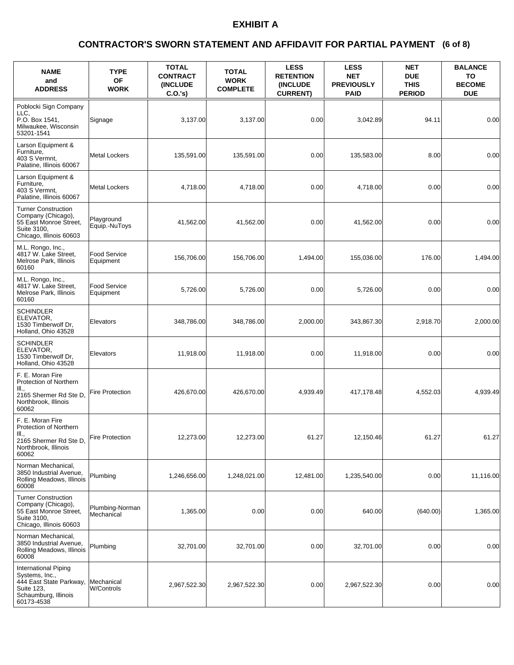### **(6 of 8) CONTRACTOR'S SWORN STATEMENT AND AFFIDAVIT FOR PARTIAL PAYMENT**

| <b>NAME</b><br>and<br><b>ADDRESS</b>                                                                                  | <b>TYPE</b><br><b>OF</b><br><b>WORK</b> | <b>TOTAL</b><br><b>CONTRACT</b><br>(INCLUDE<br>$C.O.'s$ ) | <b>TOTAL</b><br><b>WORK</b><br><b>COMPLETE</b> | <b>LESS</b><br><b>RETENTION</b><br>(INCLUDE<br><b>CURRENT)</b> | <b>LESS</b><br><b>NET</b><br><b>PREVIOUSLY</b><br><b>PAID</b> | <b>NET</b><br><b>DUE</b><br><b>THIS</b><br><b>PERIOD</b> | <b>BALANCE</b><br>TO<br><b>BECOME</b><br><b>DUE</b> |
|-----------------------------------------------------------------------------------------------------------------------|-----------------------------------------|-----------------------------------------------------------|------------------------------------------------|----------------------------------------------------------------|---------------------------------------------------------------|----------------------------------------------------------|-----------------------------------------------------|
| Poblocki Sign Company<br>LLC.<br>P.O. Box 1541.<br>Milwaukee, Wisconsin<br>53201-1541                                 | Signage                                 | 3,137.00                                                  | 3,137.00                                       | 0.00                                                           | 3,042.89                                                      | 94.11                                                    | 0.00                                                |
| Larson Equipment &<br>Furniture,<br>403 S Vermnt,<br>Palatine, Illinois 60067                                         | <b>Metal Lockers</b>                    | 135,591.00                                                | 135,591.00                                     | 0.00                                                           | 135,583.00                                                    | 8.00                                                     | 0.00                                                |
| Larson Equipment &<br>Furniture,<br>403 S Vermnt,<br>Palatine, Illinois 60067                                         | <b>Metal Lockers</b>                    | 4,718.00                                                  | 4,718.00                                       | 0.00                                                           | 4,718.00                                                      | 0.00                                                     | 0.00                                                |
| <b>Turner Construction</b><br>Company (Chicago),<br>55 East Monroe Street,<br>Suite 3100,<br>Chicago, Illinois 60603  | Playground<br>Equip.-NuToys             | 41,562.00                                                 | 41,562.00                                      | 0.00                                                           | 41,562.00                                                     | 0.00                                                     | 0.00                                                |
| M.L. Rongo, Inc.,<br>4817 W. Lake Street,<br>Melrose Park, Illinois<br>60160                                          | <b>Food Service</b><br>Equipment        | 156,706.00                                                | 156,706.00                                     | 1,494.00                                                       | 155,036.00                                                    | 176.00                                                   | 1,494.00                                            |
| M.L. Rongo, Inc.,<br>4817 W. Lake Street.<br>Melrose Park, Illinois<br>60160                                          | <b>Food Service</b><br>Equipment        | 5,726.00                                                  | 5,726.00                                       | 0.00                                                           | 5,726.00                                                      | 0.00                                                     | 0.00                                                |
| <b>SCHINDLER</b><br>ELEVATOR,<br>1530 Timberwolf Dr.<br>Holland, Ohio 43528                                           | Elevators                               | 348,786.00                                                | 348,786.00                                     | 2,000.00                                                       | 343,867.30                                                    | 2,918.70                                                 | 2,000.00                                            |
| <b>SCHINDLER</b><br>ELEVATOR,<br>1530 Timberwolf Dr,<br>Holland, Ohio 43528                                           | Elevators                               | 11,918.00                                                 | 11,918.00                                      | 0.00                                                           | 11,918.00                                                     | 0.00                                                     | 0.00                                                |
| F. E. Moran Fire<br>Protection of Northern<br>III.,<br>2165 Shermer Rd Ste D,<br>Northbrook, Illinois<br>60062        | <b>Fire Protection</b>                  | 426,670.00                                                | 426,670.00                                     | 4,939.49                                                       | 417,178.48                                                    | 4,552.03                                                 | 4,939.49                                            |
| F. E. Moran Fire<br>Protection of Northern<br>III.,<br>2165 Shermer Rd Ste D,<br>Northbrook, Illinois<br>60062        | <b>Fire Protection</b>                  | 12,273.00                                                 | 12,273.00                                      | 61.27                                                          | 12,150.46                                                     | 61.27                                                    | 61.27                                               |
| Norman Mechanical,<br>3850 Industrial Avenue,<br>Rolling Meadows, Illinois<br>60008                                   | Plumbing                                | 1,246,656.00                                              | 1,248,021.00                                   | 12,481.00                                                      | 1,235,540.00                                                  | 0.00                                                     | 11,116.00                                           |
| <b>Turner Construction</b><br>Company (Chicago),<br>55 East Monroe Street,<br>Suite 3100,<br>Chicago, Illinois 60603  | Plumbing-Norman<br>Mechanical           | 1,365.00                                                  | 0.00                                           | 0.00                                                           | 640.00                                                        | (640.00)                                                 | 1,365.00                                            |
| Norman Mechanical,<br>3850 Industrial Avenue,<br>Rolling Meadows, Illinois<br>60008                                   | Plumbing                                | 32,701.00                                                 | 32,701.00                                      | 0.00                                                           | 32,701.00                                                     | 0.00                                                     | 0.00                                                |
| International Piping<br>Systems, Inc.,<br>444 East State Parkway,<br>Suite 123,<br>Schaumburg, Illinois<br>60173-4538 | Mechanical<br>W/Controls                | 2,967,522.30                                              | 2,967,522.30                                   | 0.00                                                           | 2,967,522.30                                                  | 0.00                                                     | 0.00                                                |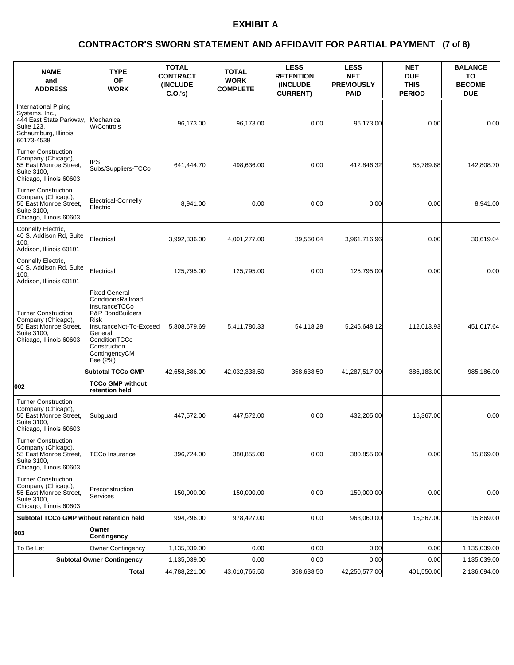### **(7 of 8) CONTRACTOR'S SWORN STATEMENT AND AFFIDAVIT FOR PARTIAL PAYMENT**

| <b>NAME</b><br>and<br><b>ADDRESS</b>                                                                                  | <b>TYPE</b><br><b>OF</b><br><b>WORK</b>                                                                                                                                                       | <b>TOTAL</b><br><b>CONTRACT</b><br><b>(INCLUDE)</b><br>C.O.'s) | <b>TOTAL</b><br><b>WORK</b><br><b>COMPLETE</b> | <b>LESS</b><br><b>RETENTION</b><br>(INCLUDE<br><b>CURRENT)</b> | <b>LESS</b><br><b>NET</b><br><b>PREVIOUSLY</b><br><b>PAID</b> | <b>NET</b><br><b>DUE</b><br><b>THIS</b><br><b>PERIOD</b> | <b>BALANCE</b><br>ΤО<br><b>BECOME</b><br><b>DUE</b> |
|-----------------------------------------------------------------------------------------------------------------------|-----------------------------------------------------------------------------------------------------------------------------------------------------------------------------------------------|----------------------------------------------------------------|------------------------------------------------|----------------------------------------------------------------|---------------------------------------------------------------|----------------------------------------------------------|-----------------------------------------------------|
| International Piping<br>Systems, Inc.,<br>444 East State Parkway,<br>Suite 123,<br>Schaumburg, Illinois<br>60173-4538 | Mechanical<br><b>W/Controls</b>                                                                                                                                                               | 96,173.00                                                      | 96,173.00                                      | 0.00                                                           | 96,173.00                                                     | 0.00                                                     | 0.00                                                |
| <b>Turner Construction</b><br>Company (Chicago),<br>55 East Monroe Street,<br>Suite 3100,<br>Chicago, Illinois 60603  | <b>IPS</b><br>Subs/Suppliers-TCCb                                                                                                                                                             | 641,444.70                                                     | 498,636.00                                     | 0.00                                                           | 412,846.32                                                    | 85,789.68                                                | 142,808.70                                          |
| <b>Turner Construction</b><br>Company (Chicago),<br>55 East Monroe Street,<br>Suite 3100,<br>Chicago, Illinois 60603  | Electrical-Connelly<br>Electric                                                                                                                                                               | 8,941.00                                                       | 0.00                                           | 0.00                                                           | 0.00                                                          | 0.00                                                     | 8,941.00                                            |
| Connelly Electric,<br>40 S. Addison Rd, Suite<br>100,<br>Addison, Illinois 60101                                      | Electrical                                                                                                                                                                                    | 3,992,336.00                                                   | 4,001,277.00                                   | 39,560.04                                                      | 3,961,716.96                                                  | 0.00                                                     | 30.619.04                                           |
| Connelly Electric,<br>40 S. Addison Rd, Suite<br>100.<br>Addison, Illinois 60101                                      | Electrical                                                                                                                                                                                    | 125,795.00                                                     | 125,795.00                                     | 0.00                                                           | 125,795.00                                                    | 0.00                                                     | 0.00                                                |
| <b>Turner Construction</b><br>Company (Chicago),<br>55 East Monroe Street,<br>Suite 3100,<br>Chicago, Illinois 60603  | <b>Fixed General</b><br>ConditionsRailroad<br>InsuranceTCCo<br>P&P BondBuilders<br>Risk<br>InsuranceNot-To-Exceed<br>General<br>ConditionTCCo<br>Construction<br>ContingencyCM<br>Fee $(2\%)$ | 5,808,679.69                                                   | 5,411,780.33                                   | 54,118.28                                                      | 5,245,648.12                                                  | 112,013.93                                               | 451,017.64                                          |
|                                                                                                                       | <b>Subtotal TCCo GMP</b>                                                                                                                                                                      | 42,658,886.00                                                  | 42,032,338.50                                  | 358,638.50                                                     | 41,287,517.00                                                 | 386,183.00                                               | 985,186.00                                          |
| 002                                                                                                                   | <b>TCCo GMP without</b><br>retention held                                                                                                                                                     |                                                                |                                                |                                                                |                                                               |                                                          |                                                     |
| <b>Turner Construction</b><br>Company (Chicago),<br>55 East Monroe Street.<br>Suite 3100,<br>Chicago, Illinois 60603  | Subguard                                                                                                                                                                                      | 447,572.00                                                     | 447,572.00                                     | 0.00                                                           | 432,205.00                                                    | 15,367.00                                                | 0.00                                                |
| <b>Turner Construction</b><br>Company (Chicago),<br>55 East Monroe Street,<br>Suite 3100.<br>Chicago, Illinois 60603  | TCCo Insurance                                                                                                                                                                                | 396,724.00                                                     | 380,855.00                                     | 0.00                                                           | 380,855.00                                                    | 0.00                                                     | 15,869.00                                           |
| <b>Turner Construction</b><br>Company (Chicago),<br>55 East Monroe Street,<br>Suite 3100,<br>Chicago, Illinois 60603  | Preconstruction<br><b>Services</b>                                                                                                                                                            | 150,000.00                                                     | 150,000.00                                     | 0.00                                                           | 150,000.00                                                    | 0.00                                                     | 0.00                                                |
| <b>Subtotal TCCo GMP without retention held</b>                                                                       |                                                                                                                                                                                               | 994,296.00                                                     | 978,427.00                                     | 0.00                                                           | 963,060.00                                                    | 15,367.00                                                | 15,869.00                                           |
| 003                                                                                                                   | Owner<br>Contingency                                                                                                                                                                          |                                                                |                                                |                                                                |                                                               |                                                          |                                                     |
| To Be Let                                                                                                             | <b>Owner Contingency</b>                                                                                                                                                                      | 1,135,039.00                                                   | 0.00                                           | 0.00                                                           | 0.00                                                          | 0.00                                                     | 1,135,039.00                                        |
|                                                                                                                       | <b>Subtotal Owner Contingency</b>                                                                                                                                                             | 1,135,039.00                                                   | 0.00                                           | 0.00                                                           | 0.00                                                          | 0.00                                                     | 1,135,039.00                                        |
|                                                                                                                       | Total                                                                                                                                                                                         | 44,788,221.00                                                  | 43,010,765.50                                  | 358,638.50                                                     | 42,250,577.00                                                 | 401,550.00                                               | 2,136,094.00                                        |